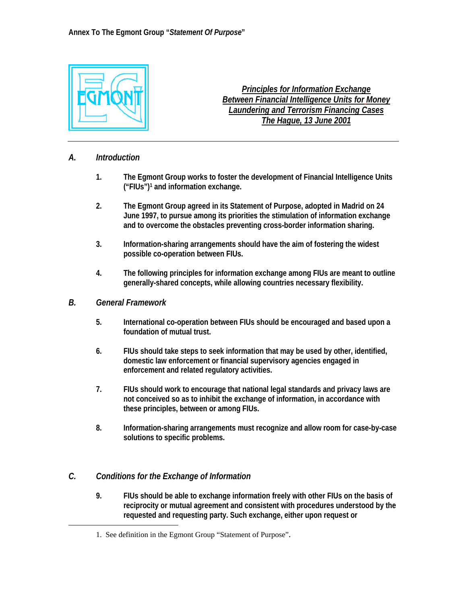

*Principles for Information Exchange Between Financial Intelligence Units for Money Laundering and Terrorism Financing Cases The Hague, 13 June 2001*

#### *A. Introduction*

- **1. The Egmont Group works to foster the development of Financial Intelligence Units ("FIUs")[1](#page-0-0) and information exchange.**
- **2. The Egmont Group agreed in its Statement of Purpose, adopted in Madrid on 24 June 1997, to pursue among its priorities the stimulation of information exchange and to overcome the obstacles preventing cross-border information sharing.**
- **3. Information-sharing arrangements should have the aim of fostering the widest possible co-operation between FIUs.**
- **4. The following principles for information exchange among FIUs are meant to outline generally-shared concepts, while allowing countries necessary flexibility.**

#### *B. General Framework*

 $\overline{a}$ 

- **5. International co-operation between FIUs should be encouraged and based upon a foundation of mutual trust.**
- **6. FIUs should take steps to seek information that may be used by other, identified, domestic law enforcement or financial supervisory agencies engaged in enforcement and related regulatory activities.**
- **7. FIUs should work to encourage that national legal standards and privacy laws are not conceived so as to inhibit the exchange of information, in accordance with these principles, between or among FIUs.**
- **8. Information-sharing arrangements must recognize and allow room for case-by-case solutions to specific problems.**

## *C. Conditions for the Exchange of Information*

**9. FIUs should be able to exchange information freely with other FIUs on the basis of reciprocity or mutual agreement and consistent with procedures understood by the requested and requesting party. Such exchange, either upon request or** 

<span id="page-0-0"></span><sup>1.</sup> See definition in the Egmont Group "Statement of Purpose".